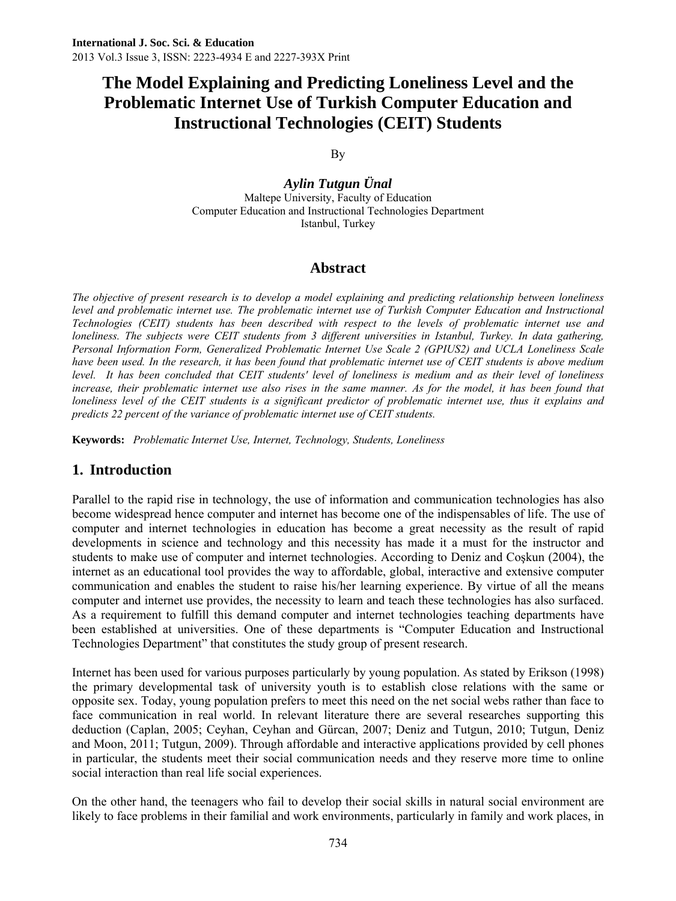By

*Aylin Tutgun Ünal*  Maltepe University, Faculty of Education Computer Education and Instructional Technologies Department Istanbul, Turkey

### **Abstract**

*The objective of present research is to develop a model explaining and predicting relationship between loneliness level and problematic internet use. The problematic internet use of Turkish Computer Education and Instructional Technologies (CEIT) students has been described with respect to the levels of problematic internet use and loneliness. The subjects were CEIT students from 3 different universities in Istanbul, Turkey. In data gathering, Personal Information Form, Generalized Problematic Internet Use Scale 2 (GPIUS2) and UCLA Loneliness Scale have been used. In the research, it has been found that problematic internet use of CEIT students is above medium*  level. It has been concluded that CEIT students' level of loneliness is medium and as their level of loneliness *increase, their problematic internet use also rises in the same manner. As for the model, it has been found that loneliness level of the CEIT students is a significant predictor of problematic internet use, thus it explains and predicts 22 percent of the variance of problematic internet use of CEIT students.* 

**Keywords:** *Problematic Internet Use, Internet, Technology, Students, Loneliness* 

# **1. Introduction**

Parallel to the rapid rise in technology, the use of information and communication technologies has also become widespread hence computer and internet has become one of the indispensables of life. The use of computer and internet technologies in education has become a great necessity as the result of rapid developments in science and technology and this necessity has made it a must for the instructor and students to make use of computer and internet technologies. According to Deniz and Coşkun (2004), the internet as an educational tool provides the way to affordable, global, interactive and extensive computer communication and enables the student to raise his/her learning experience. By virtue of all the means computer and internet use provides, the necessity to learn and teach these technologies has also surfaced. As a requirement to fulfill this demand computer and internet technologies teaching departments have been established at universities. One of these departments is "Computer Education and Instructional Technologies Department" that constitutes the study group of present research.

Internet has been used for various purposes particularly by young population. As stated by Erikson (1998) the primary developmental task of university youth is to establish close relations with the same or opposite sex. Today, young population prefers to meet this need on the net social webs rather than face to face communication in real world. In relevant literature there are several researches supporting this deduction (Caplan, 2005; Ceyhan, Ceyhan and Gürcan, 2007; Deniz and Tutgun, 2010; Tutgun, Deniz and Moon, 2011; Tutgun, 2009). Through affordable and interactive applications provided by cell phones in particular, the students meet their social communication needs and they reserve more time to online social interaction than real life social experiences.

On the other hand, the teenagers who fail to develop their social skills in natural social environment are likely to face problems in their familial and work environments, particularly in family and work places, in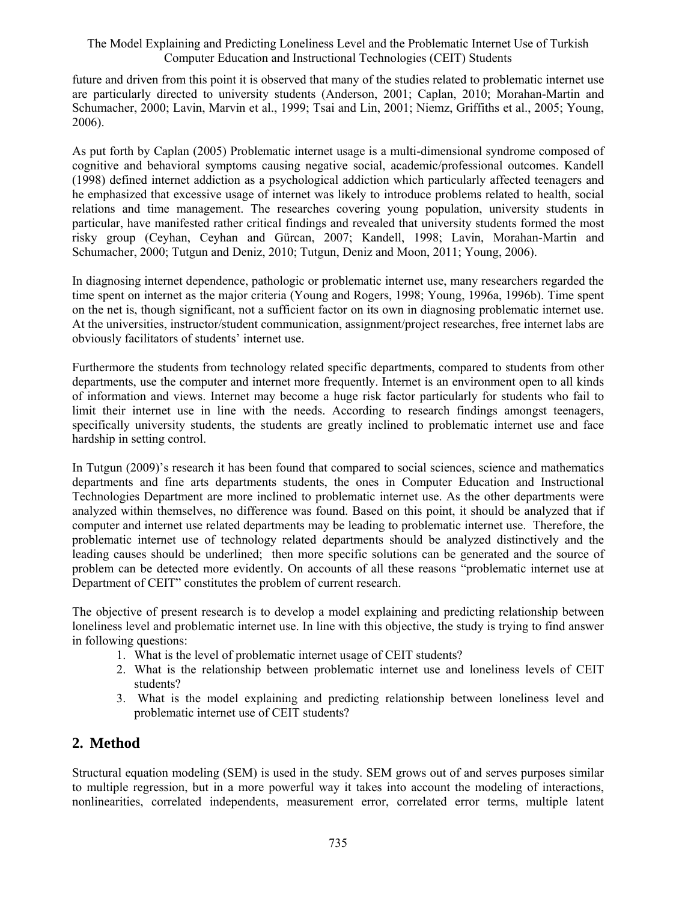future and driven from this point it is observed that many of the studies related to problematic internet use are particularly directed to university students (Anderson, 2001; Caplan, 2010; Morahan-Martin and Schumacher, 2000; Lavin, Marvin et al., 1999; Tsai and Lin, 2001; Niemz, Griffiths et al., 2005; Young, 2006).

As put forth by Caplan (2005) Problematic internet usage is a multi-dimensional syndrome composed of cognitive and behavioral symptoms causing negative social, academic/professional outcomes. Kandell (1998) defined internet addiction as a psychological addiction which particularly affected teenagers and he emphasized that excessive usage of internet was likely to introduce problems related to health, social relations and time management. The researches covering young population, university students in particular, have manifested rather critical findings and revealed that university students formed the most risky group (Ceyhan, Ceyhan and Gürcan, 2007; Kandell, 1998; Lavin, Morahan-Martin and Schumacher, 2000; Tutgun and Deniz, 2010; Tutgun, Deniz and Moon, 2011; Young, 2006).

In diagnosing internet dependence, pathologic or problematic internet use, many researchers regarded the time spent on internet as the major criteria (Young and Rogers, 1998; Young, 1996a, 1996b). Time spent on the net is, though significant, not a sufficient factor on its own in diagnosing problematic internet use. At the universities, instructor/student communication, assignment/project researches, free internet labs are obviously facilitators of students' internet use.

Furthermore the students from technology related specific departments, compared to students from other departments, use the computer and internet more frequently. Internet is an environment open to all kinds of information and views. Internet may become a huge risk factor particularly for students who fail to limit their internet use in line with the needs. According to research findings amongst teenagers, specifically university students, the students are greatly inclined to problematic internet use and face hardship in setting control.

In Tutgun (2009)'s research it has been found that compared to social sciences, science and mathematics departments and fine arts departments students, the ones in Computer Education and Instructional Technologies Department are more inclined to problematic internet use. As the other departments were analyzed within themselves, no difference was found. Based on this point, it should be analyzed that if computer and internet use related departments may be leading to problematic internet use. Therefore, the problematic internet use of technology related departments should be analyzed distinctively and the leading causes should be underlined; then more specific solutions can be generated and the source of problem can be detected more evidently. On accounts of all these reasons "problematic internet use at Department of CEIT" constitutes the problem of current research.

The objective of present research is to develop a model explaining and predicting relationship between loneliness level and problematic internet use. In line with this objective, the study is trying to find answer in following questions:

- 1. What is the level of problematic internet usage of CEIT students?
- 2. What is the relationship between problematic internet use and loneliness levels of CEIT students?
- 3. What is the model explaining and predicting relationship between loneliness level and problematic internet use of CEIT students?

# **2. Method**

Structural equation modeling (SEM) is used in the study. SEM grows out of and serves purposes similar to multiple regression, but in a more powerful way it takes into account the modeling of interactions, nonlinearities, correlated independents, measurement error, correlated error terms, multiple latent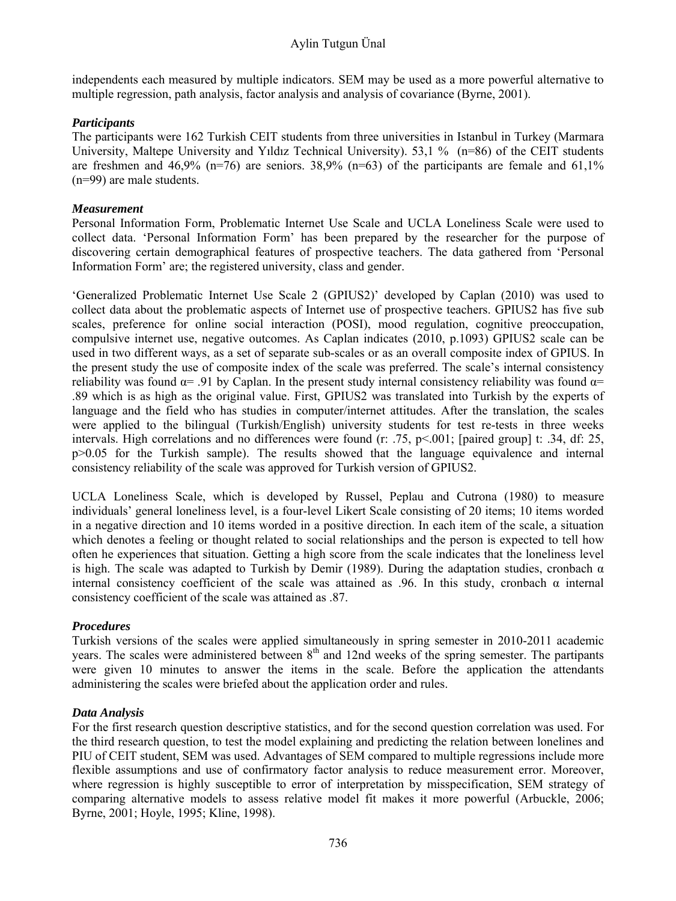### Aylin Tutgun Ünal

independents each measured by multiple indicators. SEM may be used as a more powerful alternative to multiple regression, path analysis, factor analysis and analysis of covariance (Byrne, 2001).

### *Participants*

The participants were 162 Turkish CEIT students from three universities in Istanbul in Turkey (Marmara University, Maltepe University and Yıldız Technical University). 53,1 % (n=86) of the CEIT students are freshmen and 46,9% (n=76) are seniors. 38,9% (n=63) of the participants are female and 61,1% (n=99) are male students.

#### *Measurement*

Personal Information Form, Problematic Internet Use Scale and UCLA Loneliness Scale were used to collect data. 'Personal Information Form' has been prepared by the researcher for the purpose of discovering certain demographical features of prospective teachers. The data gathered from 'Personal Information Form' are; the registered university, class and gender.

'Generalized Problematic Internet Use Scale 2 (GPIUS2)' developed by Caplan (2010) was used to collect data about the problematic aspects of Internet use of prospective teachers. GPIUS2 has five sub scales, preference for online social interaction (POSI), mood regulation, cognitive preoccupation, compulsive internet use, negative outcomes. As Caplan indicates (2010, p.1093) GPIUS2 scale can be used in two different ways, as a set of separate sub-scales or as an overall composite index of GPIUS. In the present study the use of composite index of the scale was preferred. The scale's internal consistency reliability was found  $\alpha$ = .91 by Caplan. In the present study internal consistency reliability was found  $\alpha$ = .89 which is as high as the original value. First, GPIUS2 was translated into Turkish by the experts of language and the field who has studies in computer/internet attitudes. After the translation, the scales were applied to the bilingual (Turkish/English) university students for test re-tests in three weeks intervals. High correlations and no differences were found (r: .75, p<.001; [paired group] t: .34, df: 25, p>0.05 for the Turkish sample). The results showed that the language equivalence and internal consistency reliability of the scale was approved for Turkish version of GPIUS2.

UCLA Loneliness Scale, which is developed by Russel, Peplau and Cutrona (1980) to measure individuals' general loneliness level, is a four-level Likert Scale consisting of 20 items; 10 items worded in a negative direction and 10 items worded in a positive direction. In each item of the scale, a situation which denotes a feeling or thought related to social relationships and the person is expected to tell how often he experiences that situation. Getting a high score from the scale indicates that the loneliness level is high. The scale was adapted to Turkish by Demir (1989). During the adaptation studies, cronbach  $\alpha$ internal consistency coefficient of the scale was attained as .96. In this study, cronbach  $\alpha$  internal consistency coefficient of the scale was attained as .87.

### *Procedures*

Turkish versions of the scales were applied simultaneously in spring semester in 2010-2011 academic years. The scales were administered between  $8<sup>th</sup>$  and 12nd weeks of the spring semester. The partipants were given 10 minutes to answer the items in the scale. Before the application the attendants administering the scales were briefed about the application order and rules.

#### *Data Analysis*

For the first research question descriptive statistics, and for the second question correlation was used. For the third research question, to test the model explaining and predicting the relation between lonelines and PIU of CEIT student, SEM was used. Advantages of SEM compared to multiple regressions include more flexible assumptions and use of confirmatory factor analysis to reduce measurement error. Moreover, where regression is highly susceptible to error of interpretation by misspecification, SEM strategy of comparing alternative models to assess relative model fit makes it more powerful (Arbuckle, 2006; Byrne, 2001; Hoyle, 1995; Kline, 1998).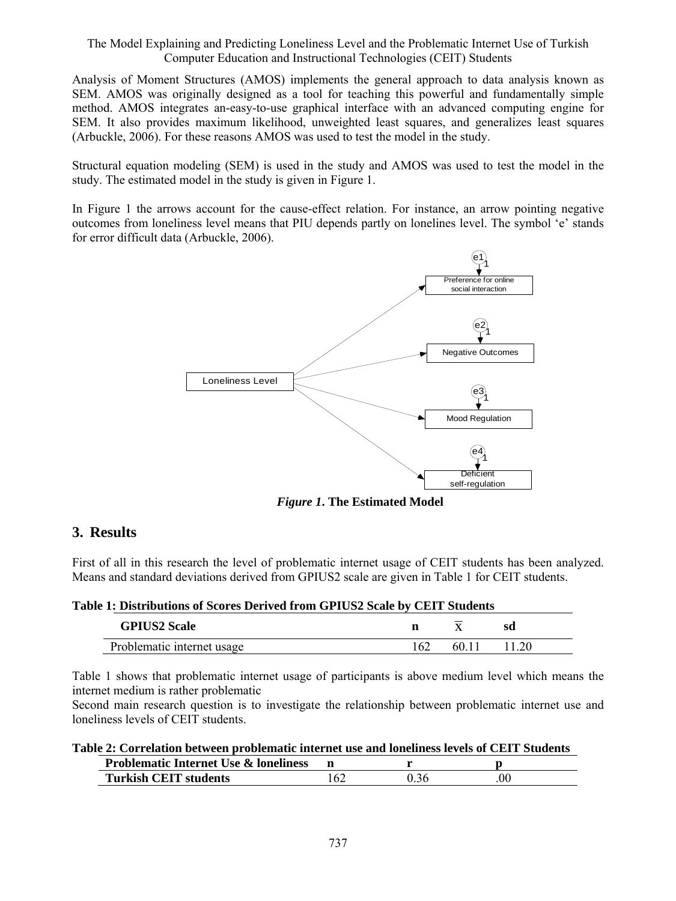Analysis of Moment Structures (AMOS) implements the general approach to data analysis known as SEM. AMOS was originally designed as a tool for teaching this powerful and fundamentally simple method. AMOS integrates an-easy-to-use graphical interface with an advanced computing engine for SEM. It also provides maximum likelihood, unweighted least squares, and generalizes least squares (Arbuckle, 2006). For these reasons AMOS was used to test the model in the study.

Structural equation modeling (SEM) is used in the study and AMOS was used to test the model in the study. The estimated model in the study is given in Figure 1.

In Figure 1 the arrows account for the cause-effect relation. For instance, an arrow pointing negative outcomes from loneliness level means that PIU depends partly on lonelines level. The symbol 'e' stands for error difficult data (Arbuckle, 2006).



*Figure 1***. The Estimated Model** 

# **3. Results**

First of all in this research the level of problematic internet usage of CEIT students has been analyzed. Means and standard deviations derived from GPIUS2 scale are given in Table 1 for CEIT students.

**Table 1: Distributions of Scores Derived from GPIUS2 Scale by CEIT Students** 

| <b>GPIUS2 Scale</b>        | n    |       | sd |
|----------------------------|------|-------|----|
| Problematic internet usage | ' 62 | $60+$ |    |

Table 1 shows that problematic internet usage of participants is above medium level which means the internet medium is rather problematic

Second main research question is to investigate the relationship between problematic internet use and loneliness levels of CEIT students.

| Table 2: Correlation between problematic internet use and loneliness levels of CEIT Students |     |      |     |  |  |
|----------------------------------------------------------------------------------------------|-----|------|-----|--|--|
| <b>Problematic Internet Use &amp; loneliness</b>                                             |     |      |     |  |  |
| <b>Turkish CEIT students</b>                                                                 | 162 | 0.36 | .00 |  |  |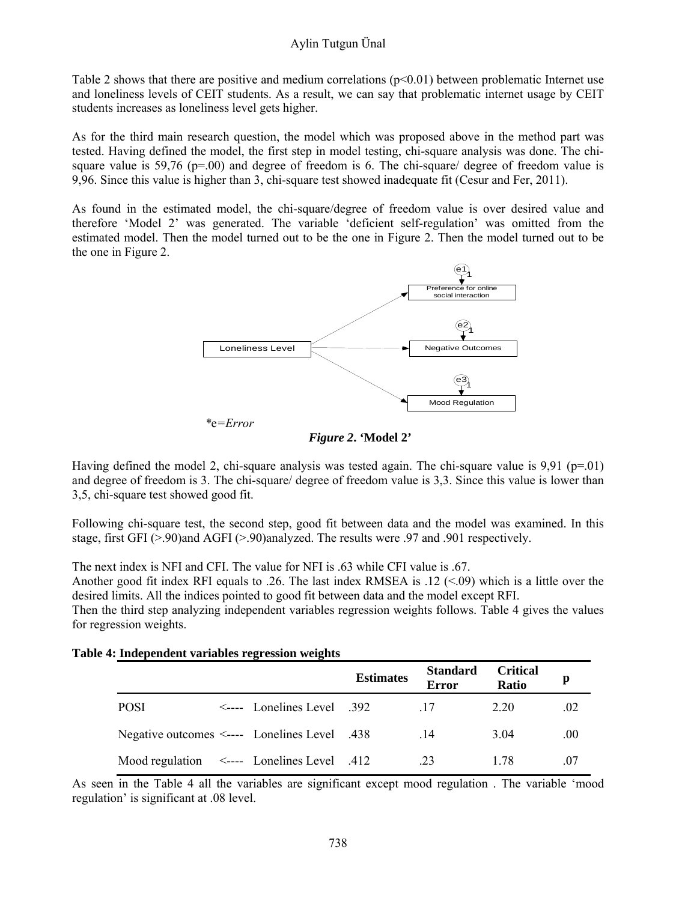Table 2 shows that there are positive and medium correlations  $(p<0.01)$  between problematic Internet use and loneliness levels of CEIT students. As a result, we can say that problematic internet usage by CEIT students increases as loneliness level gets higher.

As for the third main research question, the model which was proposed above in the method part was tested. Having defined the model, the first step in model testing, chi-square analysis was done. The chisquare value is  $59,76$  (p=.00) and degree of freedom is 6. The chi-square/ degree of freedom value is 9,96. Since this value is higher than 3, chi-square test showed inadequate fit (Cesur and Fer, 2011).

As found in the estimated model, the chi-square/degree of freedom value is over desired value and therefore 'Model 2' was generated. The variable 'deficient self-regulation' was omitted from the estimated model. Then the model turned out to be the one in Figure 2. Then the model turned out to be the one in Figure 2.



*Figure 2***. 'Model 2'** 

Having defined the model 2, chi-square analysis was tested again. The chi-square value is  $9.91$  (p=.01) and degree of freedom is 3. The chi-square/ degree of freedom value is 3,3. Since this value is lower than 3,5, chi-square test showed good fit.

Following chi-square test, the second step, good fit between data and the model was examined. In this stage, first GFI (>.90)and AGFI (>.90)analyzed. The results were .97 and .901 respectively.

The next index is NFI and CFI. The value for NFI is .63 while CFI value is .67.

Another good fit index RFI equals to .26. The last index RMSEA is .12  $(<.09$ ) which is a little over the desired limits. All the indices pointed to good fit between data and the model except RFI.

Then the third step analyzing independent variables regression weights follows. Table 4 gives the values for regression weights.

|  |  |  |  | Table 4: Independent variables regression weights |  |
|--|--|--|--|---------------------------------------------------|--|
|--|--|--|--|---------------------------------------------------|--|

|                                                  |                                  | <b>Estimates</b> | <b>Standard</b><br><b>Error</b> | <b>Critical</b><br>Ratio | p   |
|--------------------------------------------------|----------------------------------|------------------|---------------------------------|--------------------------|-----|
| <b>POSI</b>                                      | $\leq$ ---- Lonelines Level .392 |                  | -17                             | 2.20                     | .02 |
| Negative outcomes <---- Lonelines Level .438     |                                  |                  | -14                             | 3.04                     | .00 |
| Mood regulation $\leq$ ---- Lonelines Level .412 |                                  |                  | 23                              | 1 78                     | 07  |

As seen in the Table 4 all the variables are significant except mood regulation . The variable 'mood regulation' is significant at .08 level.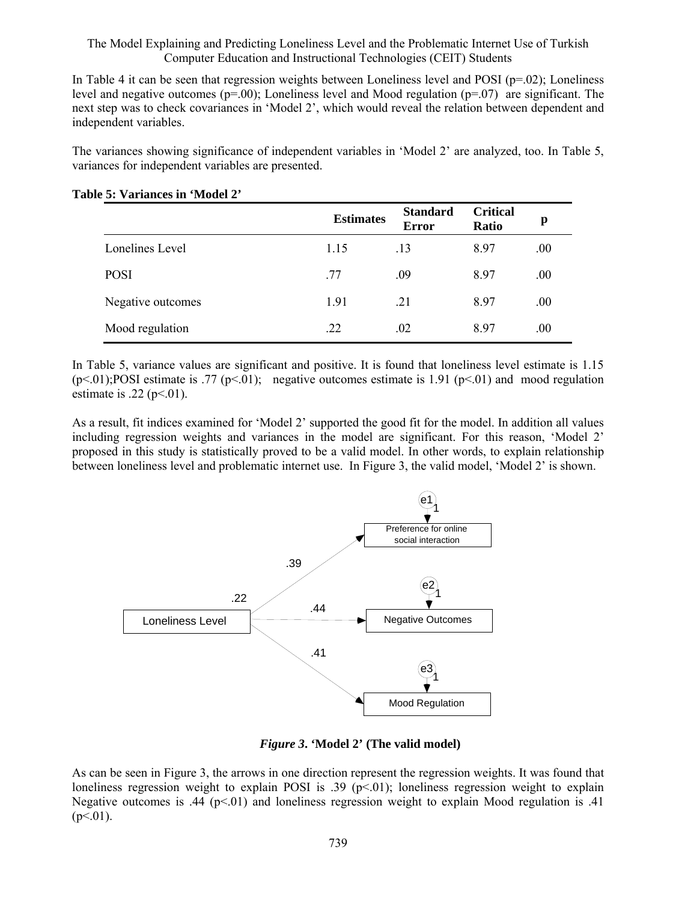In Table 4 it can be seen that regression weights between Loneliness level and POSI ( $p=0.02$ ); Loneliness level and negative outcomes ( $p=0.00$ ); Loneliness level and Mood regulation ( $p=0.07$ ) are significant. The next step was to check covariances in 'Model 2', which would reveal the relation between dependent and independent variables.

The variances showing significance of independent variables in 'Model 2' are analyzed, too. In Table 5, variances for independent variables are presented.

|                   | <b>Estimates</b> | <b>Standard</b><br>Error | <b>Critical</b><br><b>Ratio</b> | p    |
|-------------------|------------------|--------------------------|---------------------------------|------|
| Lonelines Level   | 1.15             | .13                      | 8.97                            | .00  |
| <b>POSI</b>       | .77              | .09                      | 8.97                            | .00  |
| Negative outcomes | 1.91             | .21                      | 8.97                            | .00. |
| Mood regulation   | .22              | .02                      | 8.97                            | .00. |

#### **Table 5: Variances in 'Model 2'**

In Table 5, variance values are significant and positive. It is found that loneliness level estimate is 1.15  $(p<01)$ ;POSI estimate is .77  $(p<01)$ ; negative outcomes estimate is 1.91  $(p<01)$  and mood regulation estimate is .22 ( $p<01$ ).

As a result, fit indices examined for 'Model 2' supported the good fit for the model. In addition all values including regression weights and variances in the model are significant. For this reason, 'Model 2' proposed in this study is statistically proved to be a valid model. In other words, to explain relationship between loneliness level and problematic internet use. In Figure 3, the valid model, 'Model 2' is shown.



*Figure 3***. 'Model 2' (The valid model)** 

As can be seen in Figure 3, the arrows in one direction represent the regression weights. It was found that loneliness regression weight to explain POSI is .39 ( $p<01$ ); loneliness regression weight to explain Negative outcomes is .44 ( $p<01$ ) and loneliness regression weight to explain Mood regulation is .41  $(p<.01)$ .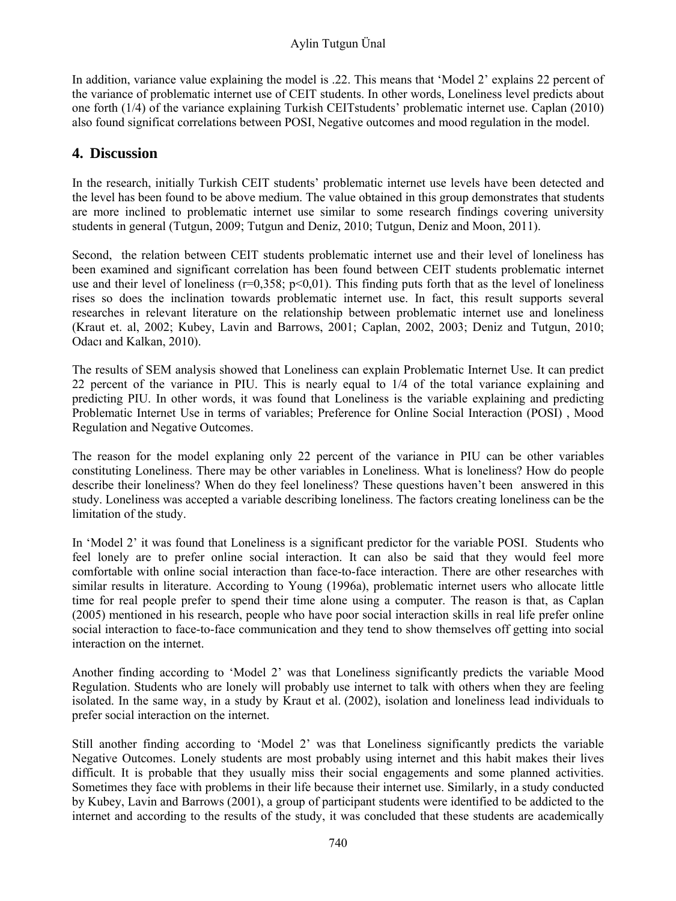### Aylin Tutgun Ünal

In addition, variance value explaining the model is .22. This means that 'Model 2' explains 22 percent of the variance of problematic internet use of CEIT students. In other words, Loneliness level predicts about one forth (1/4) of the variance explaining Turkish CEITstudents' problematic internet use. Caplan (2010) also found significat correlations between POSI, Negative outcomes and mood regulation in the model.

## **4. Discussion**

In the research, initially Turkish CEIT students' problematic internet use levels have been detected and the level has been found to be above medium. The value obtained in this group demonstrates that students are more inclined to problematic internet use similar to some research findings covering university students in general (Tutgun, 2009; Tutgun and Deniz, 2010; Tutgun, Deniz and Moon, 2011).

Second, the relation between CEIT students problematic internet use and their level of loneliness has been examined and significant correlation has been found between CEIT students problematic internet use and their level of loneliness ( $r=0,358$ ;  $p<0,01$ ). This finding puts forth that as the level of loneliness rises so does the inclination towards problematic internet use. In fact, this result supports several researches in relevant literature on the relationship between problematic internet use and loneliness (Kraut et. al, 2002; Kubey, Lavin and Barrows, 2001; Caplan, 2002, 2003; Deniz and Tutgun, 2010; Odacı and Kalkan, 2010).

The results of SEM analysis showed that Loneliness can explain Problematic Internet Use. It can predict 22 percent of the variance in PIU. This is nearly equal to 1/4 of the total variance explaining and predicting PIU. In other words, it was found that Loneliness is the variable explaining and predicting Problematic Internet Use in terms of variables; Preference for Online Social Interaction (POSI) , Mood Regulation and Negative Outcomes.

The reason for the model explaning only 22 percent of the variance in PIU can be other variables constituting Loneliness. There may be other variables in Loneliness. What is loneliness? How do people describe their loneliness? When do they feel loneliness? These questions haven't been answered in this study. Loneliness was accepted a variable describing loneliness. The factors creating loneliness can be the limitation of the study.

In 'Model 2' it was found that Loneliness is a significant predictor for the variable POSI. Students who feel lonely are to prefer online social interaction. It can also be said that they would feel more comfortable with online social interaction than face-to-face interaction. There are other researches with similar results in literature. According to Young (1996a), problematic internet users who allocate little time for real people prefer to spend their time alone using a computer. The reason is that, as Caplan (2005) mentioned in his research, people who have poor social interaction skills in real life prefer online social interaction to face-to-face communication and they tend to show themselves off getting into social interaction on the internet.

Another finding according to 'Model 2' was that Loneliness significantly predicts the variable Mood Regulation. Students who are lonely will probably use internet to talk with others when they are feeling isolated. In the same way, in a study by Kraut et al. (2002), isolation and loneliness lead individuals to prefer social interaction on the internet.

Still another finding according to 'Model 2' was that Loneliness significantly predicts the variable Negative Outcomes. Lonely students are most probably using internet and this habit makes their lives difficult. It is probable that they usually miss their social engagements and some planned activities. Sometimes they face with problems in their life because their internet use. Similarly, in a study conducted by Kubey, Lavin and Barrows (2001), a group of participant students were identified to be addicted to the internet and according to the results of the study, it was concluded that these students are academically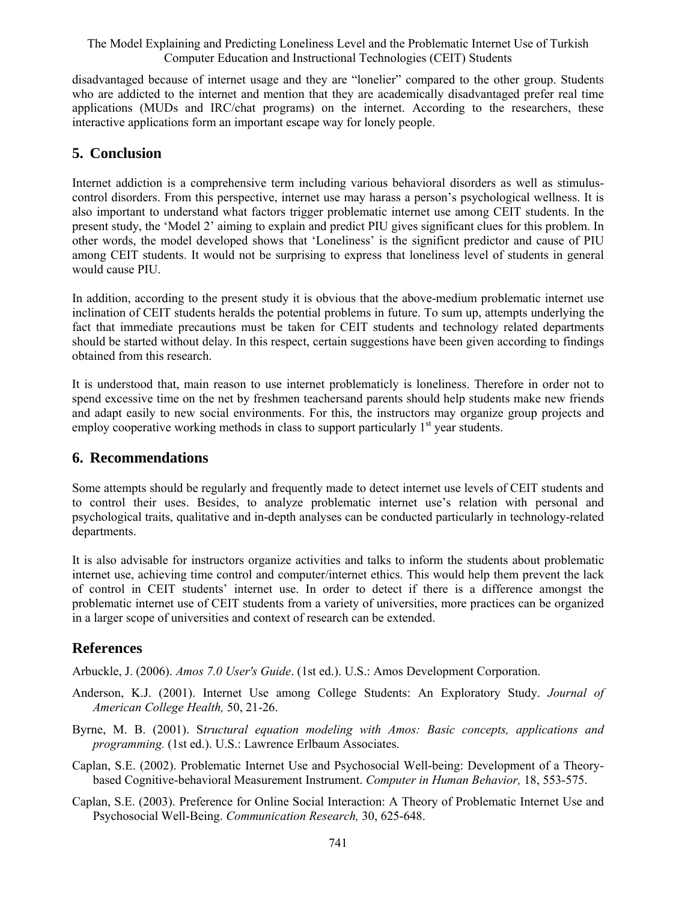disadvantaged because of internet usage and they are "lonelier" compared to the other group. Students who are addicted to the internet and mention that they are academically disadvantaged prefer real time applications (MUDs and IRC/chat programs) on the internet. According to the researchers, these interactive applications form an important escape way for lonely people.

### **5. Conclusion**

Internet addiction is a comprehensive term including various behavioral disorders as well as stimuluscontrol disorders. From this perspective, internet use may harass a person's psychological wellness. It is also important to understand what factors trigger problematic internet use among CEIT students. In the present study, the 'Model 2' aiming to explain and predict PIU gives significant clues for this problem. In other words, the model developed shows that 'Loneliness' is the significnt predictor and cause of PIU among CEIT students. It would not be surprising to express that loneliness level of students in general would cause PIU.

In addition, according to the present study it is obvious that the above-medium problematic internet use inclination of CEIT students heralds the potential problems in future. To sum up, attempts underlying the fact that immediate precautions must be taken for CEIT students and technology related departments should be started without delay. In this respect, certain suggestions have been given according to findings obtained from this research.

It is understood that, main reason to use internet problematicly is loneliness. Therefore in order not to spend excessive time on the net by freshmen teachersand parents should help students make new friends and adapt easily to new social environments. For this, the instructors may organize group projects and employ cooperative working methods in class to support particularly  $1<sup>st</sup>$  year students.

### **6. Recommendations**

Some attempts should be regularly and frequently made to detect internet use levels of CEIT students and to control their uses. Besides, to analyze problematic internet use's relation with personal and psychological traits, qualitative and in-depth analyses can be conducted particularly in technology-related departments.

It is also advisable for instructors organize activities and talks to inform the students about problematic internet use, achieving time control and computer/internet ethics. This would help them prevent the lack of control in CEIT students' internet use. In order to detect if there is a difference amongst the problematic internet use of CEIT students from a variety of universities, more practices can be organized in a larger scope of universities and context of research can be extended.

# **References**

Arbuckle, J. (2006). *Amos 7.0 User's Guide*. (1st ed.). U.S.: Amos Development Corporation.

- Anderson, K.J. (2001). Internet Use among College Students: An Exploratory Study. *Journal of American College Health,* 50, 21-26.
- Byrne, M. B. (2001). S*tructural equation modeling with Amos: Basic concepts, applications and programming.* (1st ed.). U.S.: Lawrence Erlbaum Associates.
- Caplan, S.E. (2002). Problematic Internet Use and Psychosocial Well-being: Development of a Theorybased Cognitive-behavioral Measurement Instrument. *Computer in Human Behavior,* 18, 553-575.
- Caplan, S.E. (2003). Preference for Online Social Interaction: A Theory of Problematic Internet Use and Psychosocial Well-Being. *Communication Research,* 30, 625-648.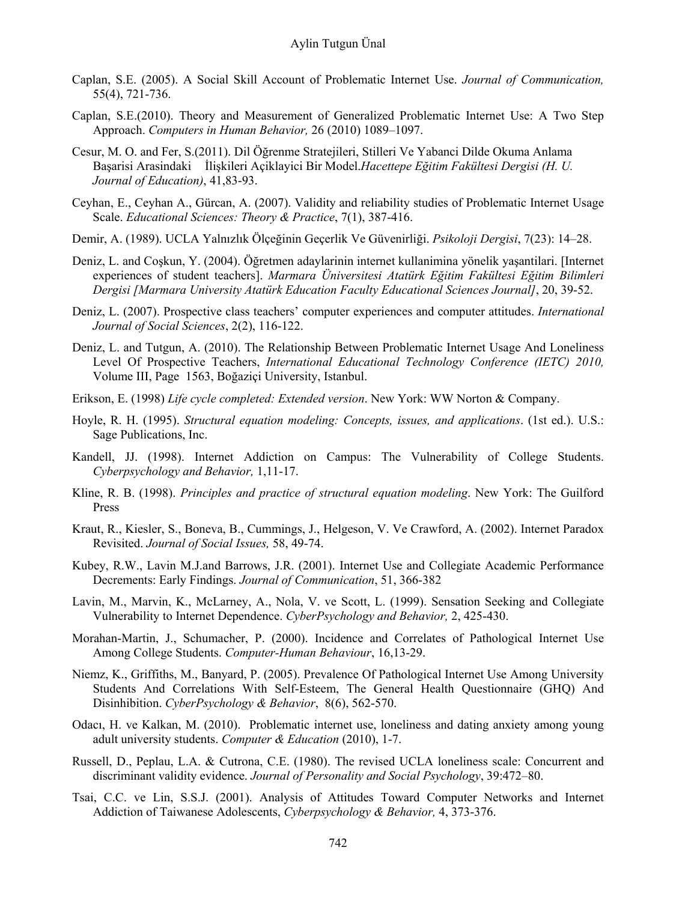- Caplan, S.E. (2005). A Social Skill Account of Problematic Internet Use. *Journal of Communication,*  55(4), 721-736.
- Caplan, S.E.(2010). Theory and Measurement of Generalized Problematic Internet Use: A Two Step Approach. *Computers in Human Behavior,* 26 (2010) 1089–1097.
- Cesur, M. O. and Fer, S.(2011). Dil Öğrenme Stratejileri, Stilleri Ve Yabanci Dilde Okuma Anlama Başarisi Arasindaki İlişkileri Açiklayici Bir Model.*Hacettepe Eğitim Fakültesi Dergisi (H. U. Journal of Education)*, 41,83-93.
- Ceyhan, E., Ceyhan A., Gürcan, A. (2007). Validity and reliability studies of Problematic Internet Usage Scale. *Educational Sciences: Theory & Practice*, 7(1), 387-416.
- Demir, A. (1989). UCLA Yalnızlık Ölçeğinin Geçerlik Ve Güvenirliği. *Psikoloji Dergisi*, 7(23): 14–28.
- Deniz, L. and Coşkun, Y. (2004). Öğretmen adaylarinin internet kullanimina yönelik yaşantilari. [Internet experiences of student teachers]. *Marmara Üniversitesi Atatürk Eğitim Fakültesi Eğitim Bilimleri Dergisi [Marmara University Atatürk Education Faculty Educational Sciences Journal]*, 20, 39-52.
- Deniz, L. (2007). Prospective class teachers' computer experiences and computer attitudes. *International Journal of Social Sciences*, 2(2), 116-122.
- Deniz, L. and Tutgun, A. (2010). The Relationship Between Problematic Internet Usage And Loneliness Level Of Prospective Teachers, *International Educational Technology Conference (IETC) 2010,* Volume III, Page 1563, Boğaziçi University, Istanbul.
- Erikson, E. (1998) *Life cycle completed: Extended version*. New York: WW Norton & Company.
- Hoyle, R. H. (1995). *Structural equation modeling: Concepts, issues, and applications*. (1st ed.). U.S.: Sage Publications, Inc.
- Kandell, JJ. (1998). Internet Addiction on Campus: The Vulnerability of College Students. *Cyberpsychology and Behavior,* 1,11-17.
- Kline, R. B. (1998). *Principles and practice of structural equation modeling*. New York: The Guilford Press
- Kraut, R., Kiesler, S., Boneva, B., Cummings, J., Helgeson, V. Ve Crawford, A. (2002). Internet Paradox Revisited. *Journal of Social Issues,* 58, 49-74.
- Kubey, R.W., Lavin M.J.and Barrows, J.R. (2001). Internet Use and Collegiate Academic Performance Decrements: Early Findings. *Journal of Communication*, 51, 366-382
- Lavin, M., Marvin, K., McLarney, A., Nola, V. ve Scott, L. (1999). Sensation Seeking and Collegiate Vulnerability to Internet Dependence. *CyberPsychology and Behavior,* 2, 425-430.
- Morahan-Martin, J., Schumacher, P. (2000). Incidence and Correlates of Pathological Internet Use Among College Students. *Computer-Human Behaviour*, 16,13-29.
- Niemz, K., Griffiths, M., Banyard, P. (2005). Prevalence Of Pathological Internet Use Among University Students And Correlations With Self-Esteem, The General Health Questionnaire (GHQ) And Disinhibition. *CyberPsychology & Behavior*, 8(6), 562-570.
- Odacı, H. ve Kalkan, M. (2010). Problematic internet use, loneliness and dating anxiety among young adult university students. *Computer & Education* (2010), 1-7.
- Russell, D., Peplau, L.A. & Cutrona, C.E. (1980). The revised UCLA loneliness scale: Concurrent and discriminant validity evidence. *Journal of Personality and Social Psychology*, 39:472–80.
- Tsai, C.C. ve Lin, S.S.J. (2001). Analysis of Attitudes Toward Computer Networks and Internet Addiction of Taiwanese Adolescents, *Cyberpsychology & Behavior,* 4, 373-376.